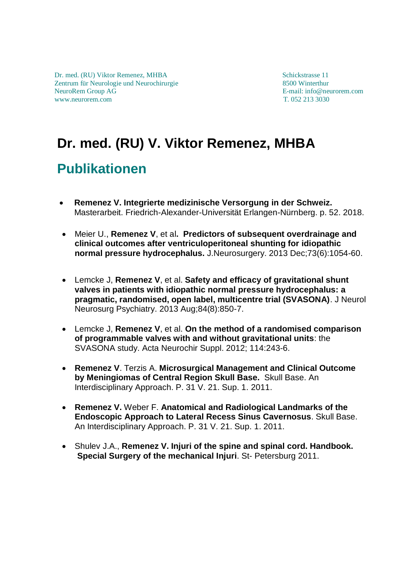## **Dr. med. (RU) V. Viktor Remenez, MHBA Publikationen**

- **Remenez V. Integrierte medizinische Versorgung in der Schweiz.** Masterarbeit. Friedrich-Alexander-Universität Erlangen-Nürnberg. p. 52. 2018.
- Meier U., **Remenez V**, et al**. [Predictors of subsequent overdrainage and](https://www.ncbi.nlm.nih.gov/pubmed/24257332)  [clinical outcomes after ventriculoperitoneal shunting for idiopathic](https://www.ncbi.nlm.nih.gov/pubmed/24257332)  [normal pressure hydrocephalus.](https://www.ncbi.nlm.nih.gov/pubmed/24257332)** J.Neurosurgery. 2013 Dec;73(6):1054-60.
- Lemcke J, **Remenez V**, et al. **[Safety and efficacy of gravitational shunt](https://www.ncbi.nlm.nih.gov/pubmed/23457222)  [valves in patients with idiopathic normal pressure hydrocephalus: a](https://www.ncbi.nlm.nih.gov/pubmed/23457222)  [pragmatic, randomised, open label, multicentre trial \(SVASONA\)](https://www.ncbi.nlm.nih.gov/pubmed/23457222)**. J Neurol Neurosurg Psychiatry. 2013 Aug;84(8):850-7.
- Lemcke J, **Remenez V**, et al. **[On the method of a randomised comparison](https://www.ncbi.nlm.nih.gov/pubmed/22327702)  [of programmable valves with and without gravitational units](https://www.ncbi.nlm.nih.gov/pubmed/22327702)**: the [SVASONA study.](https://www.ncbi.nlm.nih.gov/pubmed/22327702) Acta Neurochir Suppl. 2012; 114:243-6.
- **Remenez V**. Terzis A. **Microsurgical Management and Clinical Outcome by Meningiomas of Central Region Skull Base.** Skull Base. An Interdisciplinary Approach. P. 31 V. 21. Sup. 1. 2011.
- **Remenez V.** Weber F. **Anatomical and Radiological Landmarks of the Endoscopic Approach to Lateral Recess Sinus Cavernosus**. Skull Base. An Interdisciplinary Approach. P. 31 V. 21. Sup. 1. 2011.
- Shulev J.A., **Remenez V. Injuri of the spine and spinal cord. Handbook. Special Surgery of the mechanical Injuri**. St- Petersburg 2011.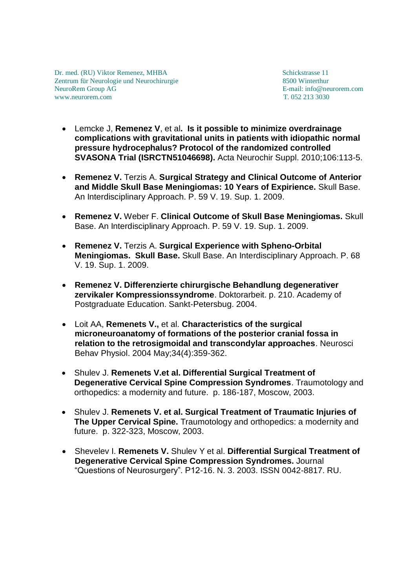- Lemcke J, **Remenez V**, et al**. [Is it possible to minimize overdrainage](https://www.ncbi.nlm.nih.gov/pubmed/19812931)  [complications with gravitational units in patients with idiopathic normal](https://www.ncbi.nlm.nih.gov/pubmed/19812931)  [pressure hydrocephalus? Protocol of the randomized controlled](https://www.ncbi.nlm.nih.gov/pubmed/19812931)  [SVASONA Trial \(ISRCTN51046698\).](https://www.ncbi.nlm.nih.gov/pubmed/19812931)** Acta Neurochir Suppl. 2010;106:113-5.
- **Remenez V.** Terzis A. **Surgical Strategy and Clinical Outcome of Anterior and Middle Skull Base Meningiomas: 10 Years of Expirience.** Skull Base. An Interdisciplinary Approach. P. 59 V. 19. Sup. 1. 2009.
- **Remenez V.** Weber F. **Clinical Outcome of Skull Base Meningiomas.** Skull Base. An Interdisciplinary Approach. P. 59 V. 19. Sup. 1. 2009.
- **Remenez V.** Terzis A. **Surgical Experience with Spheno-Orbital Meningiomas. Skull Base.** Skull Base. An Interdisciplinary Approach. P. 68 V. 19. Sup. 1. 2009.
- **Remenez V. Differenzierte chirurgische Behandlung degenerativer zervikaler Kompressionssyndrome**. Doktorarbeit. p. 210. Academy of Postgraduate Education. Sankt-Petersbug. 2004.
- Loit AA, **Remenets V.,** et al. **[Characteristics of the surgical](https://www.ncbi.nlm.nih.gov/pubmed/15341213)  [microneuroanatomy of formations of the posterior cranial fossa in](https://www.ncbi.nlm.nih.gov/pubmed/15341213)  [relation to the retrosigmoidal and transcondylar approaches](https://www.ncbi.nlm.nih.gov/pubmed/15341213)**. Neurosci Behav Physiol. 2004 May;34(4):359-362.
- Shulev J. **Remenets V.et al. Differential Surgical Treatment of Degenerative Cervical Spine Compression Syndromes**. Traumotology and orthopedics: a modernity and future. p. 186-187, Moscow, 2003.
- Shulev J. **Remenets V. et al. Surgical Treatment of Traumatic Injuries of The Upper Cervical Spine.** Traumotology and orthopedics: a modernity and future. p. 322-323, Moscow, 2003.
- Shevelev I. **Remenets V.** Shulev Y et al. **Differential Surgical Treatment of Degenerative Cervical Spine Compression Syndromes.** Journal "Questions of Neurosurgery". P12-16. N. 3. 2003. ISSN 0042-8817. RU.